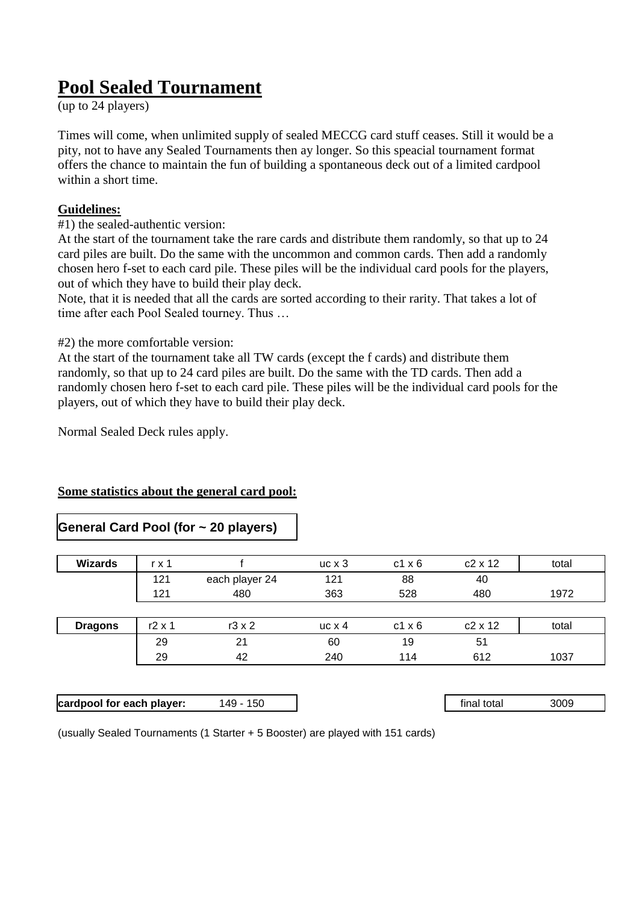# **Pool Sealed Tournament**

(up to 24 players)

Times will come, when unlimited supply of sealed MECCG card stuff ceases. Still it would be a pity, not to have any Sealed Tournaments then ay longer. So this speacial tournament format offers the chance to maintain the fun of building a spontaneous deck out of a limited cardpool within a short time.

## **Guidelines:**

## #1) the sealed-authentic version:

At the start of the tournament take the rare cards and distribute them randomly, so that up to 24 card piles are built. Do the same with the uncommon and common cards. Then add a randomly chosen hero f-set to each card pile. These piles will be the individual card pools for the players, out of which they have to build their play deck.

Note, that it is needed that all the cards are sorted according to their rarity. That takes a lot of time after each Pool Sealed tourney. Thus …

#2) the more comfortable version:

At the start of the tournament take all TW cards (except the f cards) and distribute them randomly, so that up to 24 card piles are built. Do the same with the TD cards. Then add a randomly chosen hero f-set to each card pile. These piles will be the individual card pools for the players, out of which they have to build their play deck.

Normal Sealed Deck rules apply.

#### **Some statistics about the general card pool:**

## **General Card Pool (for ~ 20 players)**

| <b>Wizards</b> | r x 1         |                | $uc \times 3$ | $c1 \times 6$ | $c2 \times 12$ | total |
|----------------|---------------|----------------|---------------|---------------|----------------|-------|
|                | 121           | each player 24 | 121           | 88            | 40             |       |
|                | 121           | 480            | 363           | 528           | 480            | 1972  |
|                |               |                |               |               |                |       |
| <b>Dragons</b> | $r2 \times 1$ | $r3 \times 2$  | $uc \times 4$ | $c1 \times 6$ | $c2 \times 12$ | total |
|                | 29            | 21             | 60            | 19            | 51             |       |
|                | 29            | 42             | 240           | 114           | 612            | 1037  |

| cardpool for each player: | 150<br>49 | final total | 3009 |
|---------------------------|-----------|-------------|------|
|                           |           |             |      |

(usually Sealed Tournaments (1 Starter + 5 Booster) are played with 151 cards)